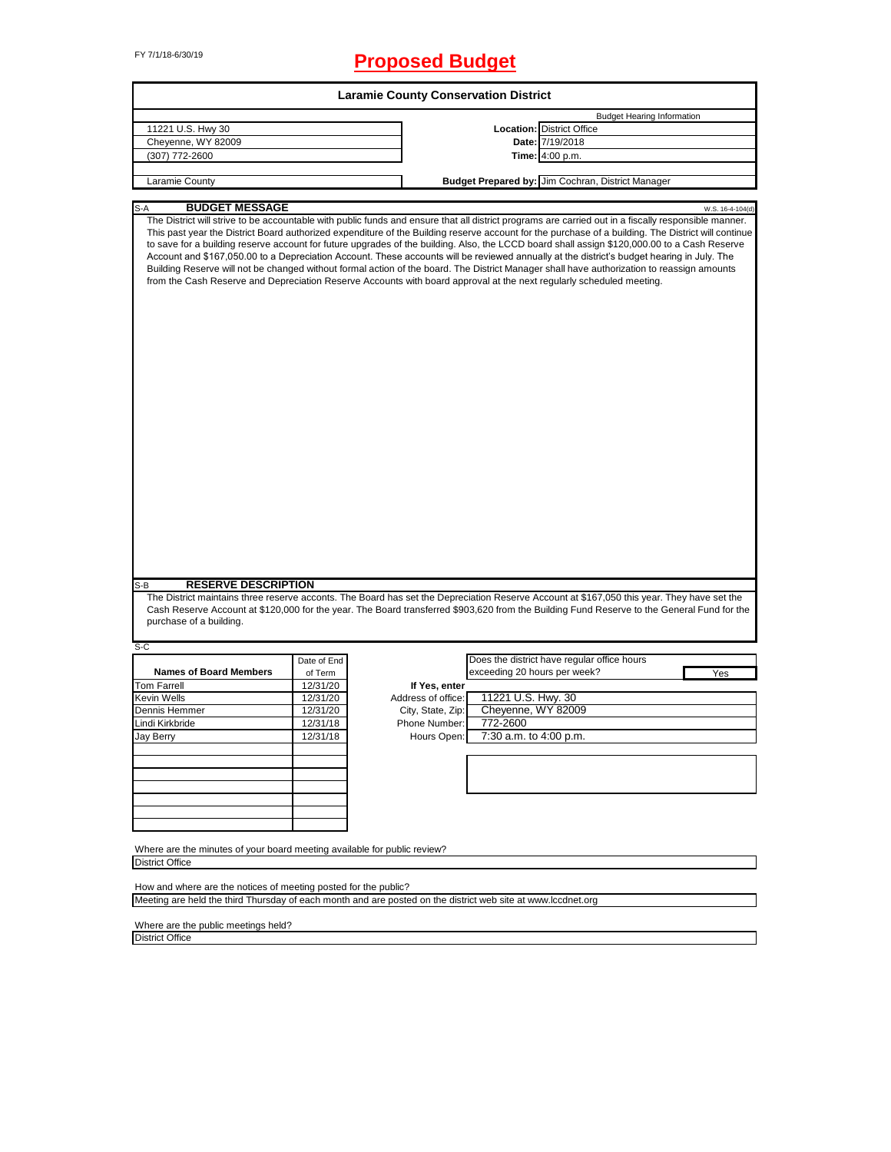# FY 7/1/18-6/30/19 **Proposed Budget**

| <b>Laramie County Conservation District</b>                                                                                                                                                                                                                                                                                                                                                                                                                                                                                                                                                                                                                                                                                                                                                                                                                                                              |             |                                                                                                              |                              |                                                   |                  |
|----------------------------------------------------------------------------------------------------------------------------------------------------------------------------------------------------------------------------------------------------------------------------------------------------------------------------------------------------------------------------------------------------------------------------------------------------------------------------------------------------------------------------------------------------------------------------------------------------------------------------------------------------------------------------------------------------------------------------------------------------------------------------------------------------------------------------------------------------------------------------------------------------------|-------------|--------------------------------------------------------------------------------------------------------------|------------------------------|---------------------------------------------------|------------------|
|                                                                                                                                                                                                                                                                                                                                                                                                                                                                                                                                                                                                                                                                                                                                                                                                                                                                                                          |             |                                                                                                              |                              | <b>Budget Hearing Information</b>                 |                  |
| 11221 U.S. Hwy 30                                                                                                                                                                                                                                                                                                                                                                                                                                                                                                                                                                                                                                                                                                                                                                                                                                                                                        |             |                                                                                                              |                              | <b>Location: District Office</b>                  |                  |
| Cheyenne, WY 82009                                                                                                                                                                                                                                                                                                                                                                                                                                                                                                                                                                                                                                                                                                                                                                                                                                                                                       |             |                                                                                                              |                              | Date: 7/19/2018                                   |                  |
| (307) 772-2600                                                                                                                                                                                                                                                                                                                                                                                                                                                                                                                                                                                                                                                                                                                                                                                                                                                                                           |             |                                                                                                              |                              | Time: 4:00 p.m.                                   |                  |
| Laramie County                                                                                                                                                                                                                                                                                                                                                                                                                                                                                                                                                                                                                                                                                                                                                                                                                                                                                           |             |                                                                                                              |                              | Budget Prepared by: Jim Cochran, District Manager |                  |
|                                                                                                                                                                                                                                                                                                                                                                                                                                                                                                                                                                                                                                                                                                                                                                                                                                                                                                          |             |                                                                                                              |                              |                                                   |                  |
| <b>BUDGET MESSAGE</b><br>The District will strive to be accountable with public funds and ensure that all district programs are carried out in a fiscally responsible manner.<br>This past year the District Board authorized expenditure of the Building reserve account for the purchase of a building. The District will continue<br>to save for a building reserve account for future upgrades of the building. Also, the LCCD board shall assign \$120,000.00 to a Cash Reserve<br>Account and \$167,050.00 to a Depreciation Account. These accounts will be reviewed annually at the district's budget hearing in July. The<br>Building Reserve will not be changed without formal action of the board. The District Manager shall have authorization to reassign amounts<br>from the Cash Reserve and Depreciation Reserve Accounts with board approval at the next regularly scheduled meeting. |             |                                                                                                              |                              |                                                   | W.S. 16-4-104(d) |
| <b>RESERVE DESCRIPTION</b><br>S-B                                                                                                                                                                                                                                                                                                                                                                                                                                                                                                                                                                                                                                                                                                                                                                                                                                                                        |             |                                                                                                              |                              |                                                   |                  |
| The District maintains three reserve acconts. The Board has set the Depreciation Reserve Account at \$167,050 this year. They have set the                                                                                                                                                                                                                                                                                                                                                                                                                                                                                                                                                                                                                                                                                                                                                               |             |                                                                                                              |                              |                                                   |                  |
| Cash Reserve Account at \$120,000 for the year. The Board transferred \$903,620 from the Building Fund Reserve to the General Fund for the<br>purchase of a building.                                                                                                                                                                                                                                                                                                                                                                                                                                                                                                                                                                                                                                                                                                                                    |             |                                                                                                              |                              |                                                   |                  |
| $S-C$                                                                                                                                                                                                                                                                                                                                                                                                                                                                                                                                                                                                                                                                                                                                                                                                                                                                                                    |             |                                                                                                              |                              |                                                   |                  |
|                                                                                                                                                                                                                                                                                                                                                                                                                                                                                                                                                                                                                                                                                                                                                                                                                                                                                                          | Date of End |                                                                                                              |                              | Does the district have regular office hours       |                  |
| <b>Names of Board Members</b>                                                                                                                                                                                                                                                                                                                                                                                                                                                                                                                                                                                                                                                                                                                                                                                                                                                                            | of Term     |                                                                                                              | exceeding 20 hours per week? |                                                   | Yes              |
| <b>Tom Farrell</b>                                                                                                                                                                                                                                                                                                                                                                                                                                                                                                                                                                                                                                                                                                                                                                                                                                                                                       | 12/31/20    | If Yes, enter                                                                                                |                              |                                                   |                  |
| Kevin Wells                                                                                                                                                                                                                                                                                                                                                                                                                                                                                                                                                                                                                                                                                                                                                                                                                                                                                              | 12/31/20    | Address of office:                                                                                           | 11221 U.S. Hwy. 30           |                                                   |                  |
| Dennis Hemmer                                                                                                                                                                                                                                                                                                                                                                                                                                                                                                                                                                                                                                                                                                                                                                                                                                                                                            | 12/31/20    | City, State, Zip:                                                                                            | Cheyenne, WY 82009           |                                                   |                  |
| Lindi Kirkbride                                                                                                                                                                                                                                                                                                                                                                                                                                                                                                                                                                                                                                                                                                                                                                                                                                                                                          | 12/31/18    | Phone Number:                                                                                                | 772-2600                     |                                                   |                  |
| Jay Berry                                                                                                                                                                                                                                                                                                                                                                                                                                                                                                                                                                                                                                                                                                                                                                                                                                                                                                | 12/31/18    | Hours Open:                                                                                                  | 7:30 a.m. to 4:00 p.m.       |                                                   |                  |
|                                                                                                                                                                                                                                                                                                                                                                                                                                                                                                                                                                                                                                                                                                                                                                                                                                                                                                          |             |                                                                                                              |                              |                                                   |                  |
|                                                                                                                                                                                                                                                                                                                                                                                                                                                                                                                                                                                                                                                                                                                                                                                                                                                                                                          |             |                                                                                                              |                              |                                                   |                  |
|                                                                                                                                                                                                                                                                                                                                                                                                                                                                                                                                                                                                                                                                                                                                                                                                                                                                                                          |             |                                                                                                              |                              |                                                   |                  |
|                                                                                                                                                                                                                                                                                                                                                                                                                                                                                                                                                                                                                                                                                                                                                                                                                                                                                                          |             |                                                                                                              |                              |                                                   |                  |
|                                                                                                                                                                                                                                                                                                                                                                                                                                                                                                                                                                                                                                                                                                                                                                                                                                                                                                          |             |                                                                                                              |                              |                                                   |                  |
|                                                                                                                                                                                                                                                                                                                                                                                                                                                                                                                                                                                                                                                                                                                                                                                                                                                                                                          |             |                                                                                                              |                              |                                                   |                  |
| Where are the minutes of your board meeting available for public review?                                                                                                                                                                                                                                                                                                                                                                                                                                                                                                                                                                                                                                                                                                                                                                                                                                 |             |                                                                                                              |                              |                                                   |                  |
| <b>District Office</b>                                                                                                                                                                                                                                                                                                                                                                                                                                                                                                                                                                                                                                                                                                                                                                                                                                                                                   |             |                                                                                                              |                              |                                                   |                  |
| How and where are the notices of meeting posted for the public?                                                                                                                                                                                                                                                                                                                                                                                                                                                                                                                                                                                                                                                                                                                                                                                                                                          |             |                                                                                                              |                              |                                                   |                  |
|                                                                                                                                                                                                                                                                                                                                                                                                                                                                                                                                                                                                                                                                                                                                                                                                                                                                                                          |             | Meeting are held the third Thursday of each month and are posted on the district web site at www.lccdnet.org |                              |                                                   |                  |

Where are the public meetings held? District Office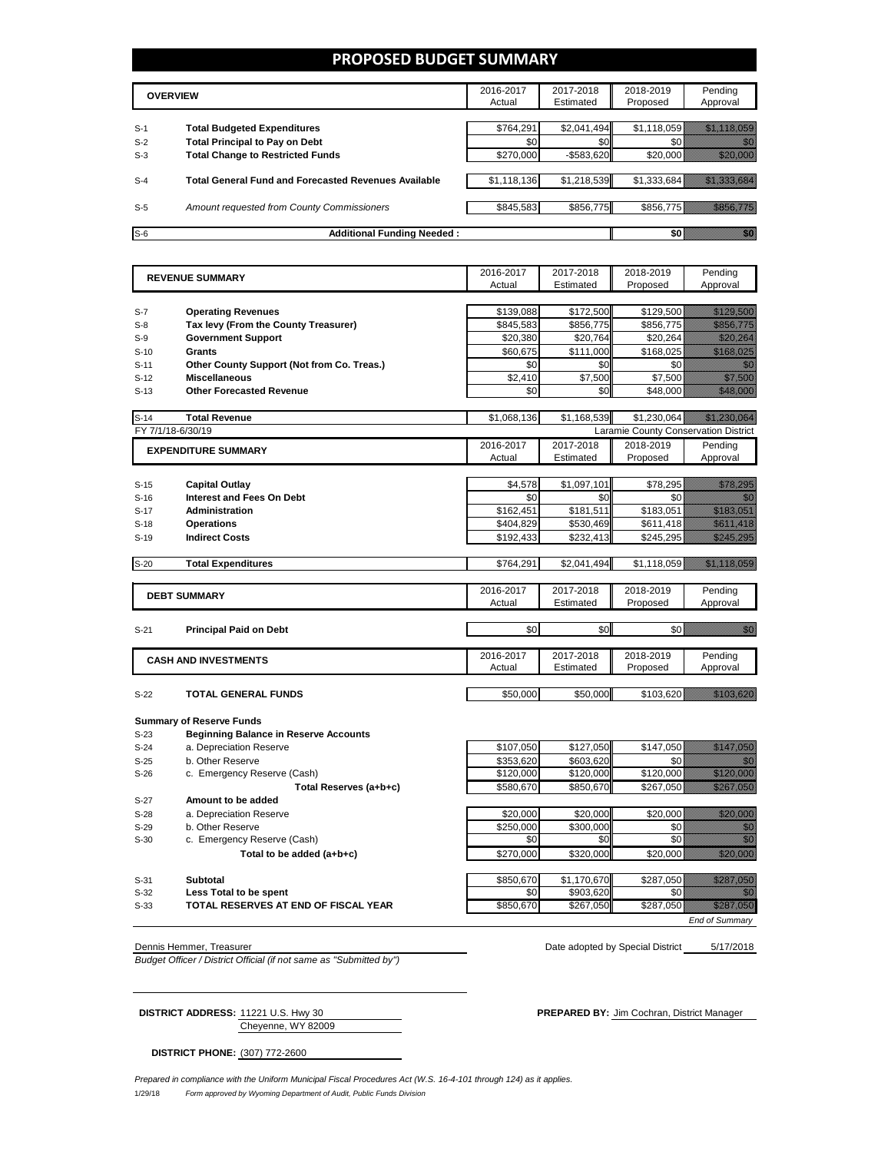### **PROPOSED BUDGET SUMMARY**

|       | <b>OVERVIEW</b>                                             | 2016-2017<br>Actual | 2017-2018<br>Estimated | 2018-2019<br>Proposed | Pending<br>Approval |
|-------|-------------------------------------------------------------|---------------------|------------------------|-----------------------|---------------------|
| $S-1$ | <b>Total Budgeted Expenditures</b>                          | \$764.291           | \$2,041,494            | \$1,118,059           |                     |
| $S-2$ | <b>Total Principal to Pay on Debt</b>                       | \$0                 | \$0 <sub>1</sub>       |                       |                     |
| $S-3$ | <b>Total Change to Restricted Funds</b>                     | \$270,000           | $-$ \$583,620          | \$20.000              |                     |
|       |                                                             |                     |                        |                       |                     |
| $S-4$ | <b>Total General Fund and Forecasted Revenues Available</b> | \$1,118,136         | \$1,218,539            | \$1,333,684           |                     |
|       |                                                             |                     |                        |                       |                     |
| $S-5$ | Amount requested from County Commissioners                  | \$845,583           | \$856,775              | \$856,775             |                     |
|       |                                                             |                     |                        |                       |                     |
| $S-6$ | <b>Additional Funding Needed:</b>                           |                     |                        |                       |                     |

| <b>REVENUE SUMMARY</b> |                                              | 2016-2017   | 2017-2018   | 2018-2019                            | Pending                                                                                                                                                                                                                         |
|------------------------|----------------------------------------------|-------------|-------------|--------------------------------------|---------------------------------------------------------------------------------------------------------------------------------------------------------------------------------------------------------------------------------|
|                        |                                              | Actual      | Estimated   | Proposed                             | Approval                                                                                                                                                                                                                        |
|                        |                                              |             |             |                                      |                                                                                                                                                                                                                                 |
| $S-7$                  | <b>Operating Revenues</b>                    | \$139,088   | \$172,500   | \$129,500                            | <u> Hillian San Sa</u>                                                                                                                                                                                                          |
| $S-8$                  | Tax levy (From the County Treasurer)         | \$845,583   | \$856,775   | \$856,775                            | <u> Hillingar og Hans og</u>                                                                                                                                                                                                    |
| $S-9$                  | <b>Government Support</b>                    | \$20,380    | \$20.764    | \$20,264                             | <u> Hillisoon S</u>                                                                                                                                                                                                             |
| $S-10$                 | Grants                                       | \$60.675    | \$111.000   | \$168.025                            | a katika katika katika katika katika katika alikuwa nchi a matsa a matsa a matsa a matsa a matsa a matsa a mat<br>Matsa a matsa a matsa a matsa a matsa a matsa a matsa a matsa a matsa a matsa a matsa a matsa a matsa a matsa |
| $S-11$                 | Other County Support (Not from Co. Treas.)   | \$0         | \$0         | \$0                                  | <u>film</u>                                                                                                                                                                                                                     |
| $S-12$                 | <b>Miscellaneous</b>                         | \$2,410     | \$7,500     | \$7,500                              | <u>till framförfattar och en sta</u>                                                                                                                                                                                            |
| $S-13$                 | <b>Other Forecasted Revenue</b>              | \$0         | \$0         | \$48,000                             | <u> Hillian Sa</u>                                                                                                                                                                                                              |
|                        |                                              |             |             |                                      |                                                                                                                                                                                                                                 |
| $S-14$                 | <b>Total Revenue</b>                         | \$1,068,136 | \$1,168,539 | \$1,230,064                          | <u> Kalifornia kontroll</u>                                                                                                                                                                                                     |
|                        | FY 7/1/18-6/30/19                            |             |             | Laramie County Conservation District |                                                                                                                                                                                                                                 |
|                        | <b>EXPENDITURE SUMMARY</b>                   | 2016-2017   | 2017-2018   | 2018-2019                            | Pending                                                                                                                                                                                                                         |
|                        |                                              | Actual      | Estimated   | Proposed                             | Approval                                                                                                                                                                                                                        |
|                        |                                              |             |             |                                      |                                                                                                                                                                                                                                 |
| $S-15$                 | <b>Capital Outlay</b>                        | \$4.578     | \$1,097,101 | \$78.295                             | a katika katika katika katika katika katika ali                                                                                                                                                                                 |
| $S-16$                 | Interest and Fees On Debt                    | \$0         | \$0         | \$0                                  | 1999                                                                                                                                                                                                                            |
| $S-17$                 | <b>Administration</b>                        | \$162,451   | \$181,511   | \$183,051                            | <u> Hardinald Sa</u>                                                                                                                                                                                                            |
| $S-18$                 | <b>Operations</b>                            | \$404,829   | \$530,469   | \$611,418                            | <u> Karl Hall Hall Song Ba</u>                                                                                                                                                                                                  |
| $S-19$                 | <b>Indirect Costs</b>                        | \$192,433   | \$232,413   | \$245,295                            | <u>Mariti Sara</u>                                                                                                                                                                                                              |
| $S-20$                 | <b>Total Expenditures</b>                    | \$764,291   | \$2,041,494 | \$1,118,059                          |                                                                                                                                                                                                                                 |
|                        |                                              |             |             |                                      |                                                                                                                                                                                                                                 |
|                        |                                              | 2016-2017   | 2017-2018   | 2018-2019                            | Pending                                                                                                                                                                                                                         |
|                        | <b>DEBT SUMMARY</b>                          | Actual      | Estimated   | Proposed                             | Approval                                                                                                                                                                                                                        |
|                        |                                              |             |             |                                      |                                                                                                                                                                                                                                 |
| $S-21$                 | <b>Principal Paid on Debt</b>                | \$0         | \$0         | \$0                                  | elli politika<br>Martxo                                                                                                                                                                                                         |
|                        |                                              |             |             |                                      |                                                                                                                                                                                                                                 |
|                        | <b>CASH AND INVESTMENTS</b>                  | 2016-2017   | 2017-2018   | 2018-2019                            | Pending                                                                                                                                                                                                                         |
|                        |                                              | Actual      | Estimated   | Proposed                             | Approval                                                                                                                                                                                                                        |
|                        |                                              |             |             |                                      |                                                                                                                                                                                                                                 |
| $S-22$                 | <b>TOTAL GENERAL FUNDS</b>                   | \$50,000    | \$50,000    | \$103,620                            |                                                                                                                                                                                                                                 |
|                        |                                              |             |             |                                      |                                                                                                                                                                                                                                 |
|                        | <b>Summary of Reserve Funds</b>              |             |             |                                      |                                                                                                                                                                                                                                 |
| $S-23$                 | <b>Beginning Balance in Reserve Accounts</b> |             |             |                                      |                                                                                                                                                                                                                                 |
| $S-24$                 | a. Depreciation Reserve                      | \$107,050   | \$127,050   | \$147,050                            | <u> Hillingar San</u>                                                                                                                                                                                                           |
| $S-25$                 | b. Other Reserve                             | \$353,620   | \$603,620   | \$0<br>\$120,000                     | <u> Hillingar Sa</u>                                                                                                                                                                                                            |
| $S-26$                 | c. Emergency Reserve (Cash)                  | \$120,000   | \$120,000   |                                      |                                                                                                                                                                                                                                 |
|                        | Total Reserves (a+b+c)<br>Amount to be added | \$580,670   | \$850,670   | \$267,050                            | <u> Hardwards</u>                                                                                                                                                                                                               |
| $S-27$                 |                                              |             |             |                                      |                                                                                                                                                                                                                                 |

- 
- 
- 
- 

**S-33 TOTAL RESERVES AT END OF FISCAL YEAR**  $\overline{\hspace{1cm}}$  \$850,670 \$267,050 \$287,050

S-28 a. Depreciation Reserve <br>S-29 b. Other Reserve **1990 for the S20,000** \$20,000 \$300,000 \$300,000 \$300,000 \$300,000 \$300,000 \$00 S-29 b. Other Reserve \$250,000 \$300,000 \$0 \$0 S-30 c. Emergency Reserve (Cash) \$0 \$0 **Total to be added (a+b+c) b html \$270,000 \$320,000 \$320,000** \$20,000 S-31 **Subtotal** \$850,670 \$1,170,670 \$287,050 S-32 **Less Total to be spent** the THSCAL YEAR TOTAL RESERVES AT END OF FISCAL YEAR TOTAL RESERVES AT END OF FISCAL YEAR

*End of Summary*

*Budget Officer / District Official (if not same as "Submitted by")*

5/17/2018 Dennis Hemmer, Treasurer National Dennis Hemmer, Treasurer National Dennis Hemmer, Treasurer National District

Cheyenne, WY 82009

**DISTRICT ADDRESS:** 11221 U.S. Hwy 30 **PREPARED BY:** Jim Cochran, District Manager

**DISTRICT PHONE:** (307) 772-2600

1/29/18 *Form approved by Wyoming Department of Audit, Public Funds Division Prepared in compliance with the Uniform Municipal Fiscal Procedures Act (W.S. 16-4-101 through 124) as it applies.*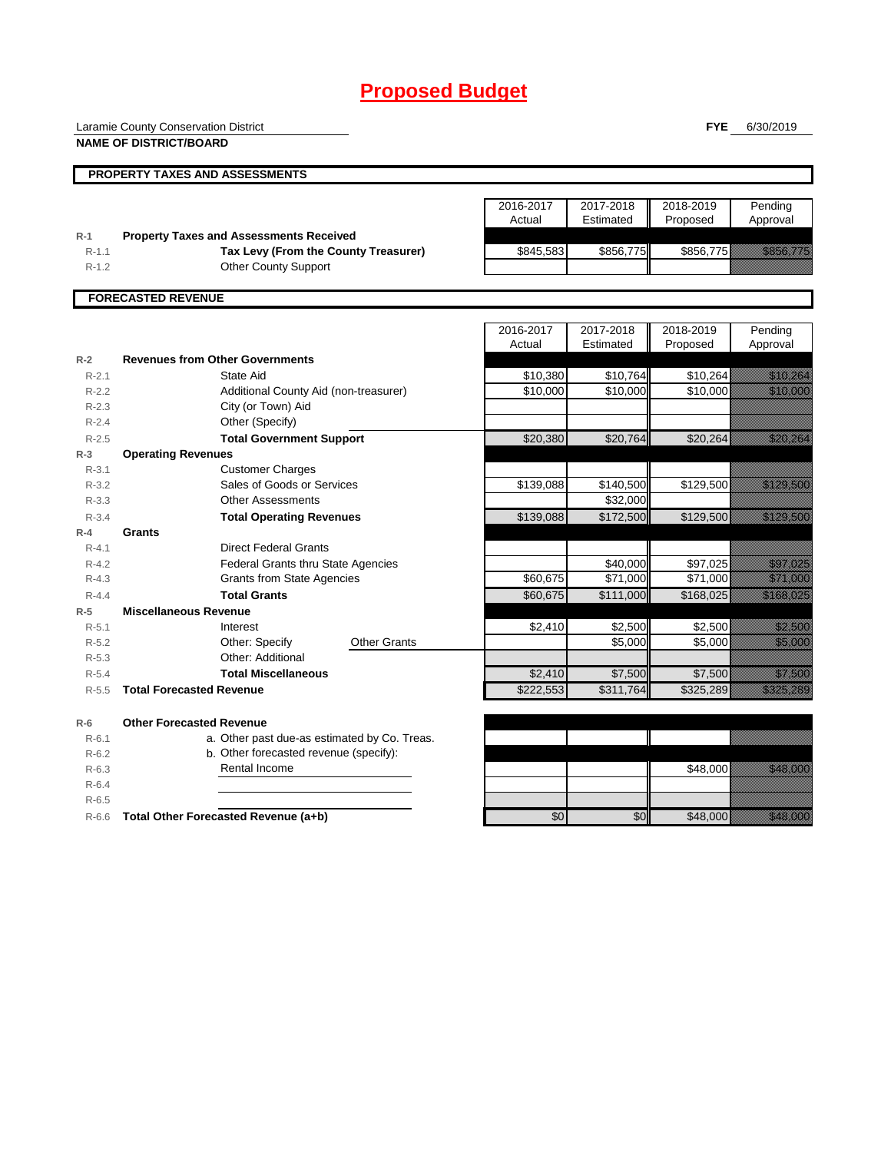# **Proposed Budget**

Laramie County Conservation District

**NAME OF DISTRICT/BOARD**

**FYE** 6/30/2019

|                    | PROPERTY TAXES AND ASSESSMENTS                                                         |                     |                        |                       |                                                                                                                                                                                                                                 |
|--------------------|----------------------------------------------------------------------------------------|---------------------|------------------------|-----------------------|---------------------------------------------------------------------------------------------------------------------------------------------------------------------------------------------------------------------------------|
|                    |                                                                                        |                     |                        |                       |                                                                                                                                                                                                                                 |
|                    |                                                                                        | 2016-2017<br>Actual | 2017-2018<br>Estimated | 2018-2019<br>Proposed | Pending                                                                                                                                                                                                                         |
|                    |                                                                                        |                     |                        |                       | Approval                                                                                                                                                                                                                        |
| $R-1$<br>$R - 1.1$ | <b>Property Taxes and Assessments Received</b><br>Tax Levy (From the County Treasurer) | \$845,583           | \$856,775              | \$856,775             | <u> Karl Mariti Sarajan Saraja</u>                                                                                                                                                                                              |
| $R - 1.2$          | <b>Other County Support</b>                                                            |                     |                        |                       |                                                                                                                                                                                                                                 |
|                    |                                                                                        |                     |                        |                       |                                                                                                                                                                                                                                 |
|                    | <b>FORECASTED REVENUE</b>                                                              |                     |                        |                       |                                                                                                                                                                                                                                 |
|                    |                                                                                        | 2016-2017           | 2017-2018              | 2018-2019             | Pending                                                                                                                                                                                                                         |
|                    |                                                                                        | Actual              | Estimated              | Proposed              | Approval                                                                                                                                                                                                                        |
| $R-2$              | <b>Revenues from Other Governments</b>                                                 |                     |                        |                       |                                                                                                                                                                                                                                 |
| $R - 2.1$          | State Aid                                                                              | \$10,380            | \$10,764               | \$10,264              | <u> Karl Lindon (</u>                                                                                                                                                                                                           |
| $R-2.2$            | Additional County Aid (non-treasurer)                                                  | \$10,000            | \$10,000               | \$10,000              | <u> Maria Maria I</u>                                                                                                                                                                                                           |
| $R - 2.3$          | City (or Town) Aid                                                                     |                     |                        |                       |                                                                                                                                                                                                                                 |
| $R - 2.4$          | Other (Specify)                                                                        |                     |                        |                       |                                                                                                                                                                                                                                 |
| $R - 2.5$          | <b>Total Government Support</b>                                                        | \$20,380            | \$20.764               | \$20.264              | <u> Karl (K</u>                                                                                                                                                                                                                 |
| $R-3$              | <b>Operating Revenues</b>                                                              |                     |                        |                       |                                                                                                                                                                                                                                 |
| $R - 3.1$          | <b>Customer Charges</b>                                                                |                     |                        |                       |                                                                                                                                                                                                                                 |
| $R - 3.2$          | Sales of Goods or Services                                                             | \$139,088           | \$140,500              | \$129,500             | <u> Hillian Sa</u>                                                                                                                                                                                                              |
| $R - 3.3$          | <b>Other Assessments</b>                                                               |                     | \$32,000               |                       |                                                                                                                                                                                                                                 |
| $R - 3.4$          | <b>Total Operating Revenues</b>                                                        | \$139,088           | \$172.500              | \$129,500             | <u> Hilliann S</u>                                                                                                                                                                                                              |
| $R-4$              | Grants                                                                                 |                     |                        |                       |                                                                                                                                                                                                                                 |
| $R - 4.1$          | <b>Direct Federal Grants</b>                                                           |                     |                        |                       |                                                                                                                                                                                                                                 |
| $R - 4.2$          | <b>Federal Grants thru State Agencies</b>                                              |                     | \$40,000               | \$97,025              | <u>ting and the second control of the second control of the second control of the second control of the second co</u>                                                                                                           |
| $R - 4.3$          | <b>Grants from State Agencies</b>                                                      | \$60,675            | \$71,000               | \$71,000              |                                                                                                                                                                                                                                 |
| $R - 4.4$          | <b>Total Grants</b><br><b>Miscellaneous Revenue</b>                                    | \$60.675            | \$111,000              | \$168.025             | <u> Karl Sara</u>                                                                                                                                                                                                               |
| $R-5$<br>$R - 5.1$ | Interest                                                                               | \$2,410             | \$2,500                | \$2,500               | <u> Maria Barat da Barat da Barat da Barat da Barat da Barat da Barat da Barat da Barat da Barat da Barat da Bar</u>                                                                                                            |
| $R-5.2$            | <b>Other Grants</b>                                                                    |                     | \$5,000                | \$5,000               |                                                                                                                                                                                                                                 |
| $R - 5.3$          | Other: Specify<br>Other: Additional                                                    |                     |                        |                       | <u> Kalendari Se</u>                                                                                                                                                                                                            |
| $R - 5.4$          | <b>Total Miscellaneous</b>                                                             | \$2.410             | \$7,500                | \$7,500               | <u> Hillian Sa</u>                                                                                                                                                                                                              |
| $R - 5.5$          | <b>Total Forecasted Revenue</b>                                                        | \$222,553           | \$311.764              | \$325,289             | a katalunggal katalunggal katalunggal katalunggal katalunggal katalunggal katalunggal katalunggal katalunggal<br>Katalunggal katalunggal katalunggal katalunggal katalunggal katalunggal katalunggal katalunggal katalunggal ka |
|                    |                                                                                        |                     |                        |                       |                                                                                                                                                                                                                                 |

| $R-6$     | <b>Other Forecasted Revenue</b>              |                  |                   |
|-----------|----------------------------------------------|------------------|-------------------|
| $R-6.1$   | a. Other past due-as estimated by Co. Treas. |                  |                   |
| $R - 6.2$ | b. Other forecasted revenue (specify):       |                  |                   |
| $R-6.3$   | Rental Income                                |                  | \$48.000 <b>A</b> |
| $R-6.4$   |                                              |                  |                   |
| $R-6.5$   |                                              |                  |                   |
|           | R-66 Total Other Forecasted Revenue (a+h)    | \$0 <sub>1</sub> | \$48,000          |

T R-6.6 **Total Other Forecasted Revenue (a+b)** 50 \$0 \$48,000 \$48,000 \$48,000 \$48,000 \$48,000 \$48,000 \$48,000 \$48,000 \$48,000 \$48,000 \$48,000 \$48,000 \$48,000 \$48,000 \$48,000 \$48,000 \$48,000 \$48,000 \$48,000 \$48,000 \$48,000 \$48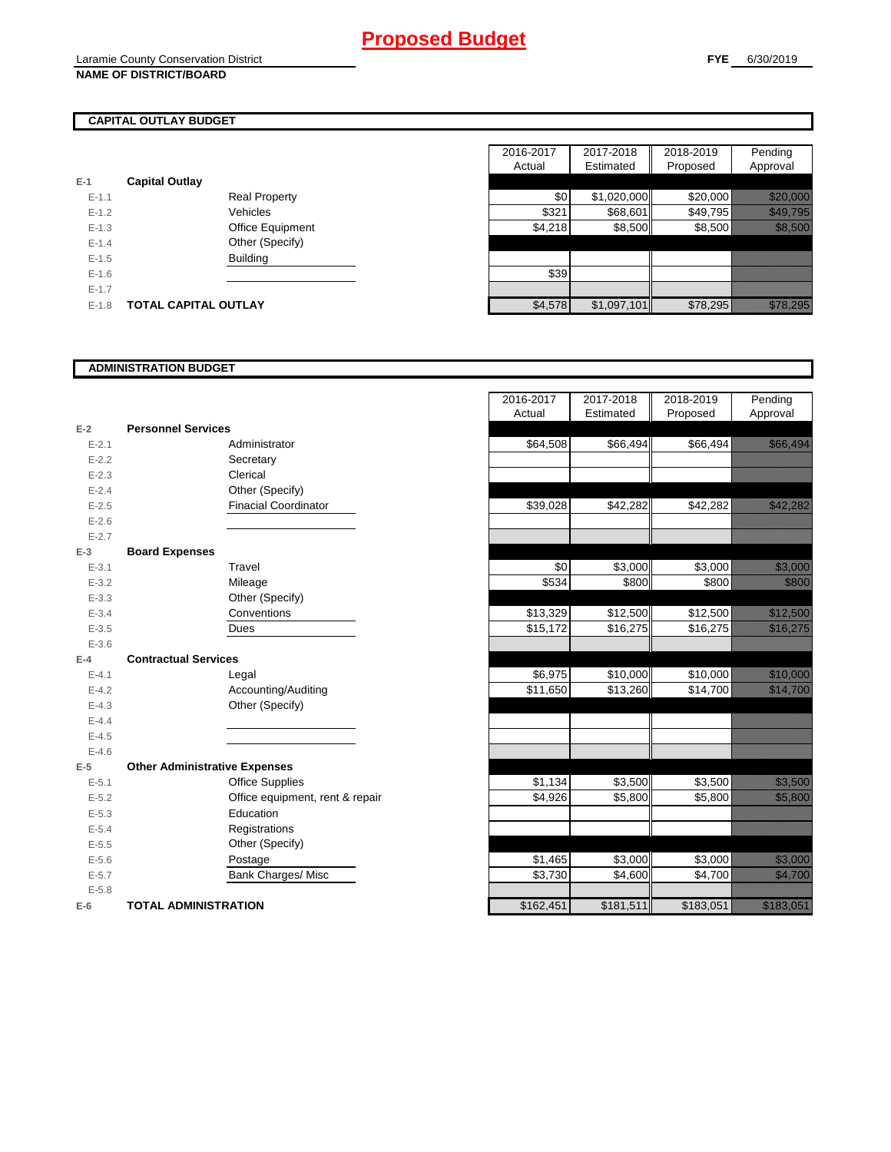# **CAPITAL OUTLAY BUDGET**

|           |                       | , , , , , , , , , , |
|-----------|-----------------------|---------------------|
| $E-1$     | <b>Capital Outlay</b> |                     |
| $E - 1.1$ | <b>Real Property</b>  | \$0                 |
| $E - 1.2$ | Vehicles              | \$321               |
| $E-1.3$   | Office Equipment      | \$4,218             |
| $E - 1.4$ | Other (Specify)       |                     |
| $E - 1.5$ | <b>Building</b>       |                     |
| $E - 1.6$ |                       | \$39                |
| $E-1.7$   |                       |                     |
| $E - 1.8$ | TOTAL CAPITAL OUTLAY  | \$4,578             |

|           |                             |                      | 2016-2017 | 2017-2018   | 2018-2019 | Pending                                                                                                                                                                                                                          |
|-----------|-----------------------------|----------------------|-----------|-------------|-----------|----------------------------------------------------------------------------------------------------------------------------------------------------------------------------------------------------------------------------------|
|           |                             |                      | Actual    | Estimated   | Proposed  | Approval                                                                                                                                                                                                                         |
|           | <b>Capital Outlay</b>       |                      |           |             |           |                                                                                                                                                                                                                                  |
| $E - 1.1$ |                             | <b>Real Property</b> | \$0       | \$1,020,000 | \$20,000  | <u> Harristo Sta</u>                                                                                                                                                                                                             |
| $E - 1.2$ |                             | Vehicles             | \$321     | \$68,601    | \$49,795  | <u> Harristo Santa Constantino de la consta</u>                                                                                                                                                                                  |
| $E-1.3$   |                             | Office Equipment     | \$4,218   | \$8,500     | \$8,500   | <u> Kabupatèn T</u>                                                                                                                                                                                                              |
| $E - 1.4$ |                             | Other (Specify)      |           |             |           |                                                                                                                                                                                                                                  |
| $E-1.5$   |                             | <b>Building</b>      |           |             |           |                                                                                                                                                                                                                                  |
| $E-1.6$   |                             |                      | \$39      |             |           |                                                                                                                                                                                                                                  |
| $E - 1.7$ |                             |                      |           |             |           |                                                                                                                                                                                                                                  |
| $E-1.8$   | <b>TOTAL CAPITAL OUTLAY</b> |                      | \$4,578   | \$1,097,101 | \$78,295  | a katika katika katika katika katika katika katika katika katika katika katika katika katika katika katika kat<br>Katika katika katika katika katika katika katika katika katika katika katika katika katika katika katika katik |

#### **ADMINISTRATION BUDGET**

| $E-2$     | <b>Personnel Services</b>            |                               |
|-----------|--------------------------------------|-------------------------------|
| $E - 2.1$ |                                      | Administrator                 |
| $E - 2.2$ |                                      | Secretary                     |
| $E - 2.3$ |                                      | Clerical                      |
| $E - 2.4$ |                                      | Other (Specify)               |
| $E - 2.5$ |                                      | <b>Finacial Coordinator</b>   |
| $E - 2.6$ |                                      |                               |
| $E - 2.7$ |                                      |                               |
| $E-3$     | <b>Board Expenses</b>                |                               |
| $E - 3.1$ |                                      | Travel                        |
| $E - 3.2$ |                                      | Mileage                       |
| $E - 3.3$ |                                      | Other (Specify)               |
| $E - 3.4$ |                                      | Conventions                   |
| $E - 3.5$ |                                      | Dues                          |
| $E - 3.6$ |                                      |                               |
| $E - 4$   | <b>Contractual Services</b>          |                               |
| $E - 4.1$ |                                      | Legal                         |
| $E - 4.2$ |                                      | Accounting/Auditing           |
| $E - 4.3$ |                                      | Other (Specify)               |
| $E - 4.4$ |                                      |                               |
| $E - 4.5$ |                                      |                               |
| $E - 4.6$ |                                      |                               |
| $E-5$     | <b>Other Administrative Expenses</b> |                               |
| $E - 5.1$ |                                      | <b>Office Supplies</b>        |
| $E - 5.2$ |                                      | Office equipment, rent & repa |
| $E - 5.3$ |                                      | Education                     |
| $E - 5.4$ |                                      | Registrations                 |
| $E - 5.5$ |                                      | Other (Specify)               |
| $E - 5.6$ |                                      | Postage                       |
| $E - 5.7$ |                                      | <b>Bank Charges/ Misc</b>     |
| $E - 5.8$ |                                      |                               |
| $E-6$     | TOTAL ADMINISTRATION                 |                               |

|                          |                                      | 2016-2017<br>Actual | 2017-2018<br>Estimated | 2018-2019<br>Proposed | Pending<br>Approval                                                                                                  |
|--------------------------|--------------------------------------|---------------------|------------------------|-----------------------|----------------------------------------------------------------------------------------------------------------------|
| Ž                        | <b>Personnel Services</b>            |                     |                        |                       |                                                                                                                      |
| $E - 2.1$                | Administrator                        | \$64,508            | \$66,494               | \$66,494              | <u> Kabupatèn Ta</u>                                                                                                 |
| $E - 2.2$                | Secretary                            |                     |                        |                       |                                                                                                                      |
| $E - 2.3$                | Clerical                             |                     |                        |                       |                                                                                                                      |
| $E - 2.4$                | Other (Specify)                      |                     |                        |                       |                                                                                                                      |
| $E-2.5$                  | <b>Finacial Coordinator</b>          | \$39,028            | \$42,282               | \$42,282              | <u> Kalifornia (h. 1989).</u>                                                                                        |
| $E - 2.6$                |                                      |                     |                        |                       |                                                                                                                      |
| $E - 2.7$                |                                      |                     |                        |                       |                                                                                                                      |
| $\overline{\phantom{a}}$ | <b>Board Expenses</b>                |                     |                        |                       |                                                                                                                      |
| $E - 3.1$                | Travel                               | \$0                 | \$3,000                | \$3,000               | <u>tionalisti</u>                                                                                                    |
| $E - 3.2$                | Mileage                              | \$534               | \$800                  | \$800                 | <u>ti ka</u>                                                                                                         |
| $E - 3.3$                | Other (Specify)                      |                     |                        |                       |                                                                                                                      |
| $E - 3.4$                | Conventions                          | \$13,329            | \$12,500               | \$12,500              | <u> Kalifornia (</u>                                                                                                 |
| $E - 3.5$                | Dues                                 | \$15,172            | \$16,275               | \$16,275              | <u>iko kalduduk </u>                                                                                                 |
| $E - 3.6$                |                                      |                     |                        |                       |                                                                                                                      |
| ı.                       | <b>Contractual Services</b>          |                     |                        |                       |                                                                                                                      |
| $E - 4.1$                | Legal                                | \$6,975             | \$10,000               | \$10,000              | <u> Karl Sarah Ba</u>                                                                                                |
| $E - 4.2$                | Accounting/Auditing                  | \$11,650            | \$13,260               | \$14,700              | <u>e di seria di seria di seria di seria di seria di seria di seria di seria di seria di seria di seria di seria</u> |
| $E - 4.3$                | Other (Specify)                      |                     |                        |                       |                                                                                                                      |
| $E - 4.4$                |                                      |                     |                        |                       |                                                                                                                      |
| $E-4.5$                  |                                      |                     |                        |                       |                                                                                                                      |
| $E - 4.6$                |                                      |                     |                        |                       |                                                                                                                      |
| 5                        | <b>Other Administrative Expenses</b> |                     |                        |                       |                                                                                                                      |
| $E - 5.1$                | <b>Office Supplies</b>               | \$1,134             | \$3,500                | \$3,500               | <u>tik ka</u>                                                                                                        |
| $E - 5.2$                | Office equipment, rent & repair      | \$4,926             | \$5,800                | \$5,800               | <b>RADAR ANG PARTICIPAL PROPERTY</b>                                                                                 |
| $E - 5.3$                | Education                            |                     |                        |                       |                                                                                                                      |
| $E - 5.4$                | Registrations                        |                     |                        |                       |                                                                                                                      |
| $E - 5.5$                | Other (Specify)                      |                     |                        |                       |                                                                                                                      |
| $E - 5.6$                | Postage                              | \$1,465             | \$3,000                | \$3,000               | <u>ti ka</u>                                                                                                         |
| $E - 5.7$                | <b>Bank Charges/ Misc</b>            | \$3,730             | \$4,600                | \$4,700               | <u>ti kalendari k</u>                                                                                                |
| $E - 5.8$                |                                      |                     |                        |                       |                                                                                                                      |
| ì                        | <b>TOTAL ADMINISTRATION</b>          | \$162,451           | \$181,511              | \$183,051             | <u> Karl Sara</u>                                                                                                    |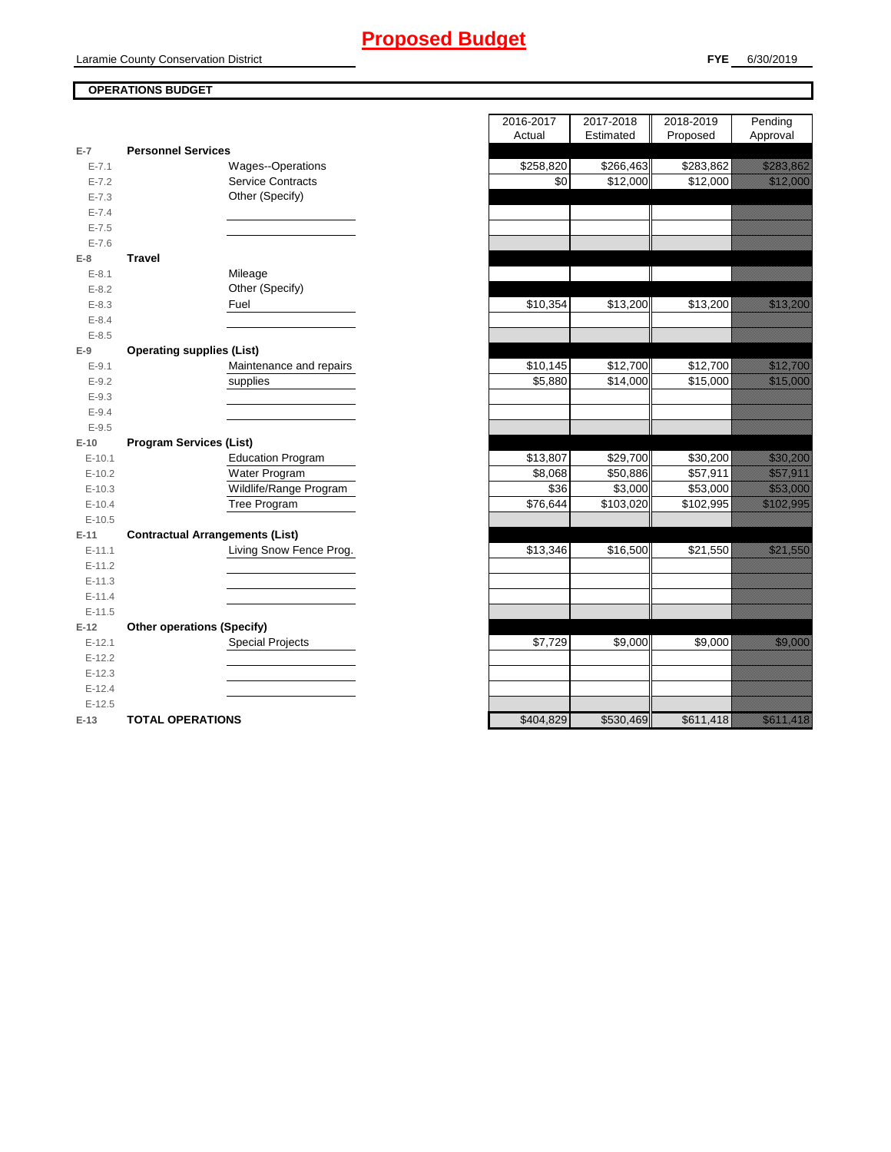# **Proposed Budget**

## **OPERATIONS BUDGET**

| $E-7$     | <b>Personnel Services</b>              |           |           |           |                                                                                                                                                                                                                                |
|-----------|----------------------------------------|-----------|-----------|-----------|--------------------------------------------------------------------------------------------------------------------------------------------------------------------------------------------------------------------------------|
| $E - 7.1$ | Wages--Operations                      | \$258,820 | \$266,463 | \$283,862 | <u>Tarajaran da</u>                                                                                                                                                                                                            |
| $E - 7.2$ | <b>Service Contracts</b>               | \$0       | \$12,000  | \$12,000  | <u> Kalendari Sepanjan Sepanjang Baga</u>                                                                                                                                                                                      |
| $E - 7.3$ | Other (Specify)                        |           |           |           |                                                                                                                                                                                                                                |
| $E - 7.4$ |                                        |           |           |           |                                                                                                                                                                                                                                |
| $E - 7.5$ |                                        |           |           |           |                                                                                                                                                                                                                                |
| $E - 7.6$ |                                        |           |           |           |                                                                                                                                                                                                                                |
| $E-8$     | <b>Travel</b>                          |           |           |           |                                                                                                                                                                                                                                |
| $E - 8.1$ | Mileage                                |           |           |           |                                                                                                                                                                                                                                |
| $E - 8.2$ | Other (Specify)                        |           |           |           |                                                                                                                                                                                                                                |
| $E - 8.3$ | Fuel                                   | \$10,354  | \$13,200  | \$13,200  | <u>tika kuning ka</u>                                                                                                                                                                                                          |
| $E - 8.4$ |                                        |           |           |           |                                                                                                                                                                                                                                |
| $E - 8.5$ |                                        |           |           |           |                                                                                                                                                                                                                                |
| $E-9$     | <b>Operating supplies (List)</b>       |           |           |           |                                                                                                                                                                                                                                |
| $E-9.1$   | Maintenance and repairs                | \$10,145  | \$12,700  | \$12,700  | <u>e di seria di seria di seria di seria di seria di seria di seria di seria di seria di seria di seria di seria</u>                                                                                                           |
| $E - 9.2$ | supplies                               | \$5,880   | \$14,000  | \$15,000  | <u> Karl Sara</u>                                                                                                                                                                                                              |
| $E - 9.3$ |                                        |           |           |           |                                                                                                                                                                                                                                |
| $E - 9.4$ |                                        |           |           |           |                                                                                                                                                                                                                                |
| $E - 9.5$ |                                        |           |           |           |                                                                                                                                                                                                                                |
| $E-10$    | <b>Program Services (List)</b>         |           |           |           |                                                                                                                                                                                                                                |
| $E-10.1$  | <b>Education Program</b>               | \$13,807  | \$29,700  | \$30,200  | <u> Karl Barat Sarajan Saraja</u>                                                                                                                                                                                              |
| $E-10.2$  | Water Program                          | \$8,068   | \$50,886  | \$57,911  | <u>i serialistikan pada tahun 1999. Seriaan perang dialah dialah dalam dalam dalam dalam dalam dalam dalam dalam </u>                                                                                                          |
| $E-10.3$  | Wildlife/Range Program                 | \$36      | \$3,000   | \$53,000  | <u> Karl Sara</u>                                                                                                                                                                                                              |
| $E-10.4$  | <b>Tree Program</b>                    | \$76,644  | \$103,020 | \$102,995 | a katika katika katika alikuwa na katika alikuwa na katika alikuwa na katika alikuwa na katika alikuwa na kati                                                                                                                 |
| $E-10.5$  |                                        |           |           |           |                                                                                                                                                                                                                                |
| $E-11$    | <b>Contractual Arrangements (List)</b> |           |           |           |                                                                                                                                                                                                                                |
| $E-11.1$  | Living Snow Fence Prog.                | \$13,346  | \$16,500  | \$21,550  | <u> Karl Sara</u>                                                                                                                                                                                                              |
| $E-11.2$  |                                        |           |           |           |                                                                                                                                                                                                                                |
| $E-11.3$  |                                        |           |           |           |                                                                                                                                                                                                                                |
| $E-11.4$  |                                        |           |           |           |                                                                                                                                                                                                                                |
| $E-11.5$  |                                        |           |           |           |                                                                                                                                                                                                                                |
| $E-12$    | <b>Other operations (Specify)</b>      |           |           |           |                                                                                                                                                                                                                                |
| $E-12.1$  | <b>Special Projects</b>                | \$7,729   | \$9,000   | \$9,000   | <u>i ka</u>                                                                                                                                                                                                                    |
| $E-12.2$  |                                        |           |           |           |                                                                                                                                                                                                                                |
| $E-12.3$  |                                        |           |           |           |                                                                                                                                                                                                                                |
| $E-12.4$  |                                        |           |           |           |                                                                                                                                                                                                                                |
| $E-12.5$  |                                        |           |           |           |                                                                                                                                                                                                                                |
| $E-13$    | <b>TOTAL OPERATIONS</b>                | \$404,829 | \$530,469 | \$611,418 | en alle selle per alle selle per alle selle per alle selle per alle selle per alle selle per alle selle per a<br>En la per alle selle per alle selle per alle selle per alle selle per alle selle per alle selle per alle sell |

|                |                                        | 2016-2017<br>Actual | 2017-2018<br>Estimated | 2018-2019<br>Proposed | Pending<br>Approval                                                                                                   |
|----------------|----------------------------------------|---------------------|------------------------|-----------------------|-----------------------------------------------------------------------------------------------------------------------|
| $\overline{7}$ | <b>Personnel Services</b>              |                     |                        |                       |                                                                                                                       |
| $E - 7.1$      | Wages--Operations                      | \$258,820           | \$266,463              | \$283,862             | <u>e de la construcción de la construcción de la construcción de la construcción de la construcción de la constru</u> |
| $E - 7.2$      | <b>Service Contracts</b>               | \$0                 | \$12,000               | \$12,000              | <u> Karl Barat da</u>                                                                                                 |
| $E - 7.3$      | Other (Specify)                        |                     |                        |                       |                                                                                                                       |
| $E - 7.4$      |                                        |                     |                        |                       |                                                                                                                       |
| $E - 7.5$      |                                        |                     |                        |                       |                                                                                                                       |
| $E - 7.6$      |                                        |                     |                        |                       |                                                                                                                       |
| 8              | <b>Travel</b>                          |                     |                        |                       |                                                                                                                       |
| $E-8.1$        | Mileage                                |                     |                        |                       |                                                                                                                       |
| $E - 8.2$      | Other (Specify)                        |                     |                        |                       |                                                                                                                       |
| $E - 8.3$      | Fuel                                   | \$10,354            | \$13,200               | \$13,200              | <u> Kalendari Serikat Serikatan Serikatan Serikatan Serikatan Serikatan Serikatan Serikatan Serikatan Serikatan </u>  |
| $E - 8.4$      |                                        |                     |                        |                       |                                                                                                                       |
| $E - 8.5$      |                                        |                     |                        |                       |                                                                                                                       |
| 9              | <b>Operating supplies (List)</b>       |                     |                        |                       |                                                                                                                       |
| $E-9.1$        | Maintenance and repairs                | \$10,145            | \$12,700               | \$12,700              | a katika katika katika katika katika katika alikuwa alikuwa alikuwa alikuwa alikuwa alikuwa alikuwa alikuwa al        |
| $E - 9.2$      | supplies                               | \$5,880             | \$14,000               | \$15,000              | <u> Kalendari Serikatan </u>                                                                                          |
| $E-9.3$        |                                        |                     |                        |                       |                                                                                                                       |
| $E - 9.4$      |                                        |                     |                        |                       |                                                                                                                       |
| $E - 9.5$      |                                        |                     |                        |                       |                                                                                                                       |
| 10             | <b>Program Services (List)</b>         |                     |                        |                       |                                                                                                                       |
| $E-10.1$       | <b>Education Program</b>               | \$13,807            | \$29,700               | \$30,200              | <u> Kalifornia (</u>                                                                                                  |
| $E-10.2$       | Water Program                          | \$8,068             | \$50,886               | \$57,911              | <u>izan dago da shekara ta 1989 da ga shekara ta 1989 da ga shekara ta 1989 da ga shekara ta 1989 da ga shekara</u>   |
| $E-10.3$       | Wildlife/Range Program                 | \$36                | \$3,000                | \$53,000              | <u> Karl Sara</u>                                                                                                     |
| $E-10.4$       | Tree Program                           | \$76,644            | \$103,020              | \$102,995             | <u>tika kuningan di kacamatan di sebagai di kacamatan di kacamatan di kacamatan di kacamatan di kacamatan di ka</u>   |
| $E-10.5$       |                                        |                     |                        |                       |                                                                                                                       |
| 11             | <b>Contractual Arrangements (List)</b> |                     |                        |                       |                                                                                                                       |
| $E-11.1$       | Living Snow Fence Prog.                | \$13,346            | \$16,500               | \$21,550              | <u>ilikuwa mwaka 1999, m</u>                                                                                          |
| $E-11.2$       |                                        |                     |                        |                       |                                                                                                                       |
| $E-11.3$       |                                        |                     |                        |                       |                                                                                                                       |
| $E-11.4$       |                                        |                     |                        |                       |                                                                                                                       |
| $E-11.5$       |                                        |                     |                        |                       |                                                                                                                       |
| 12             | <b>Other operations (Specify)</b>      |                     |                        |                       |                                                                                                                       |
| $E-12.1$       | <b>Special Projects</b>                | \$7,729             | \$9,000                | \$9,000               | <u>tin dhe që përfshë</u>                                                                                             |
| $E-12.2$       |                                        |                     |                        |                       |                                                                                                                       |
| $E-12.3$       |                                        |                     |                        |                       |                                                                                                                       |
| $E-12.4$       |                                        |                     |                        |                       |                                                                                                                       |
| $E-12.5$       |                                        |                     |                        |                       |                                                                                                                       |
| $42 -$         | TOTAL ODEDATIONS                       | 0.8101              | CZ30AB0                | $C611$ $118$          | <u>ka alimentaran dalam dalam dalam dalam dalam dalam dalam dalam dalam dalam dalam dalam dalam dalam dalam dala</u>  |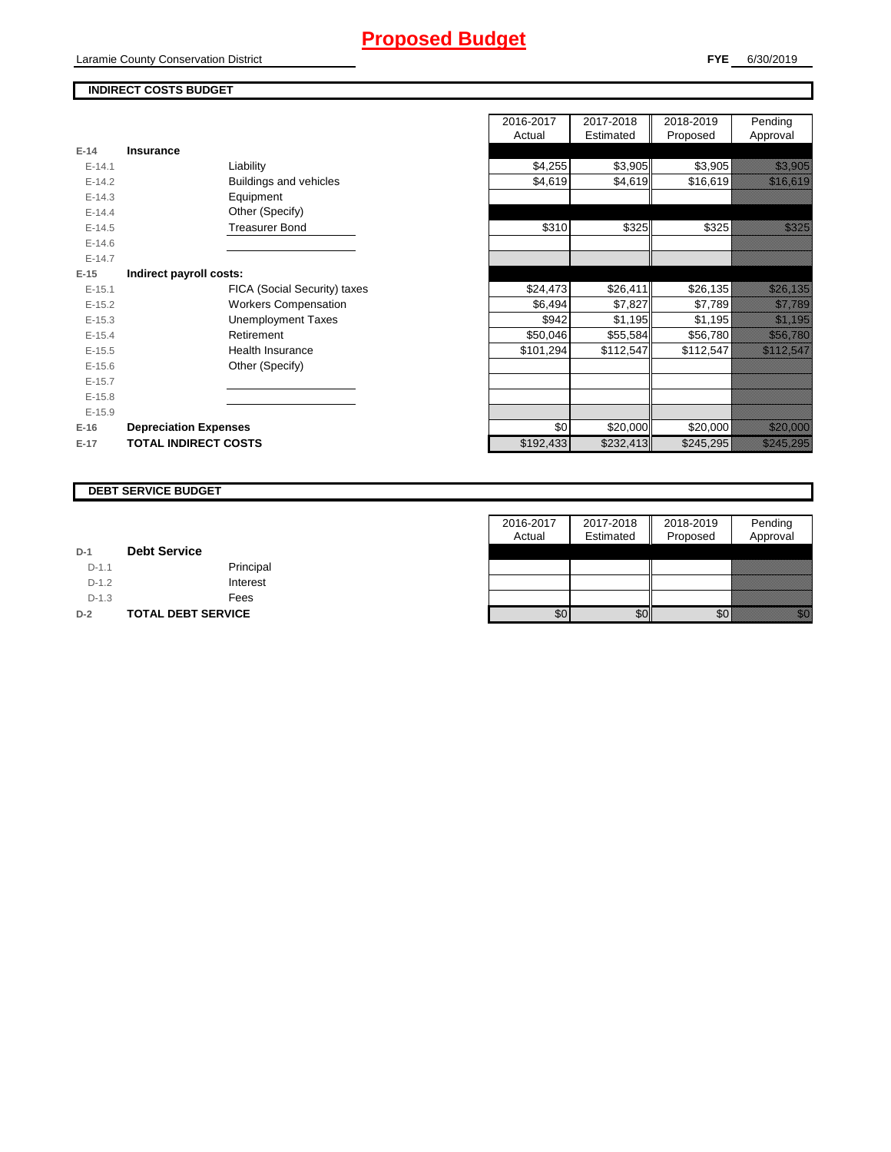# **Proposed Budget**

Laramie County Conservation District

#### **FYE** 6/30/2019

## **INDIRECT COSTS BUDGET**

| E-14       | Insurance                     |  |
|------------|-------------------------------|--|
| $F-141$    | Liability                     |  |
| $E-14.2$   | <b>Buildings and vehicles</b> |  |
| $E-14.3$   | Equipment                     |  |
| $F-144$    | Other (Specify)               |  |
| $F-14.5$   | <b>Treasurer Bond</b>         |  |
| $E - 14.6$ |                               |  |
| $F-147$    |                               |  |
| $E-15$     | Indirect payroll costs:       |  |
| $E-15.1$   | FICA (Social Security) taxes  |  |
| $E-15.2$   | <b>Workers Compensation</b>   |  |
| $E-15.3$   | <b>Unemployment Taxes</b>     |  |
| $E-15.4$   | Retirement                    |  |
| $F-15.5$   | Health Insurance              |  |
| $E - 15.6$ | Other (Specify)               |  |
| $E-15.7$   |                               |  |
| $F-15.8$   |                               |  |
| $E-15.9$   |                               |  |
| $E-16$     | <b>Depreciation Expenses</b>  |  |
| $E-17$     | <b>TOTAL INDIRECT COSTS</b>   |  |

|          |                              | 2016-2017 | 2017-2018 | 2018-2019 | Pending                                                                                                                |
|----------|------------------------------|-----------|-----------|-----------|------------------------------------------------------------------------------------------------------------------------|
|          |                              | Actual    | Estimated | Proposed  | Approval                                                                                                               |
| $E-14$   | Insurance                    |           |           |           |                                                                                                                        |
| $E-14.1$ | Liability                    | \$4,255   | \$3,905   | \$3,905   | <u> Kalendari Ka</u>                                                                                                   |
| $E-14.2$ | Buildings and vehicles       | \$4,619   | \$4,619   | \$16,619  | <u> Karl Charles II</u>                                                                                                |
| $E-14.3$ | Equipment                    |           |           |           |                                                                                                                        |
| $E-14.4$ | Other (Specify)              |           |           |           |                                                                                                                        |
| $E-14.5$ | <b>Treasurer Bond</b>        | \$310     | \$325     | \$325     | <u>ti kalendari k</u>                                                                                                  |
| $E-14.6$ |                              |           |           |           |                                                                                                                        |
| $E-14.7$ |                              |           |           |           |                                                                                                                        |
| $E-15$   | Indirect payroll costs:      |           |           |           |                                                                                                                        |
| $E-15.1$ | FICA (Social Security) taxes | \$24,473  | \$26,411  | \$26,135  | <u> Karl Mariti Saraja</u>                                                                                             |
| $E-15.2$ | <b>Workers Compensation</b>  | \$6,494   | \$7,827   | \$7,789   | <u>ting and the second second and the second second in the second second in the second second in the second second</u> |
| $E-15.3$ | <b>Unemployment Taxes</b>    | \$942     | \$1,195   | \$1,195   | <u> Karlingan yang berasal dalam bagi dalam bagi dalam bagi dalam bagi dalam bagi dalam bagi dalam bagi dalam ba</u>   |
| $E-15.4$ | Retirement                   | \$50,046  | \$55,584  | \$56,780  | <u>izazione di controlle</u>                                                                                           |
| $E-15.5$ | Health Insurance             | \$101,294 | \$112,547 | \$112,547 | <u>esta laiteetti k</u>                                                                                                |
| $E-15.6$ | Other (Specify)              |           |           |           |                                                                                                                        |
| $E-15.7$ |                              |           |           |           |                                                                                                                        |
| $E-15.8$ |                              |           |           |           |                                                                                                                        |
| $E-15.9$ |                              |           |           |           |                                                                                                                        |
| $E-16$   | <b>Depreciation Expenses</b> | \$0       | \$20,000  | \$20,000  | <u> Hillian Sta</u>                                                                                                    |
| $E-17$   | <b>TOTAL INDIRECT COSTS</b>  | \$192,433 | \$232,413 | \$245,295 | <u> Killer Tiller och till exploration och till exploration och till exploration och till exploration och till e</u>   |
|          |                              |           |           |           |                                                                                                                        |

#### **DEBT SERVICE BUDGET**

|         |                           | 2016-2017 | 2017-2018 | 2018-2019 | Pending                                                                                                                                                                                                                          |
|---------|---------------------------|-----------|-----------|-----------|----------------------------------------------------------------------------------------------------------------------------------------------------------------------------------------------------------------------------------|
|         |                           | Actual    | Estimated | Proposed  | Approval                                                                                                                                                                                                                         |
| $D-1$   | <b>Debt Service</b>       |           |           |           |                                                                                                                                                                                                                                  |
| $D-1.1$ | Principal                 |           |           |           |                                                                                                                                                                                                                                  |
| $D-1.2$ | Interest                  |           |           |           |                                                                                                                                                                                                                                  |
| $D-1.3$ | Fees                      |           |           |           |                                                                                                                                                                                                                                  |
| $D-2$   | <b>TOTAL DEBT SERVICE</b> | \$0       | \$0       | \$0       | en de la familie de la familie de la familie de la familie de la familie de la familie de la familie de la fam<br>De la familie de la familie de la familie de la familie de la familie de la familie de la familie de la famili |